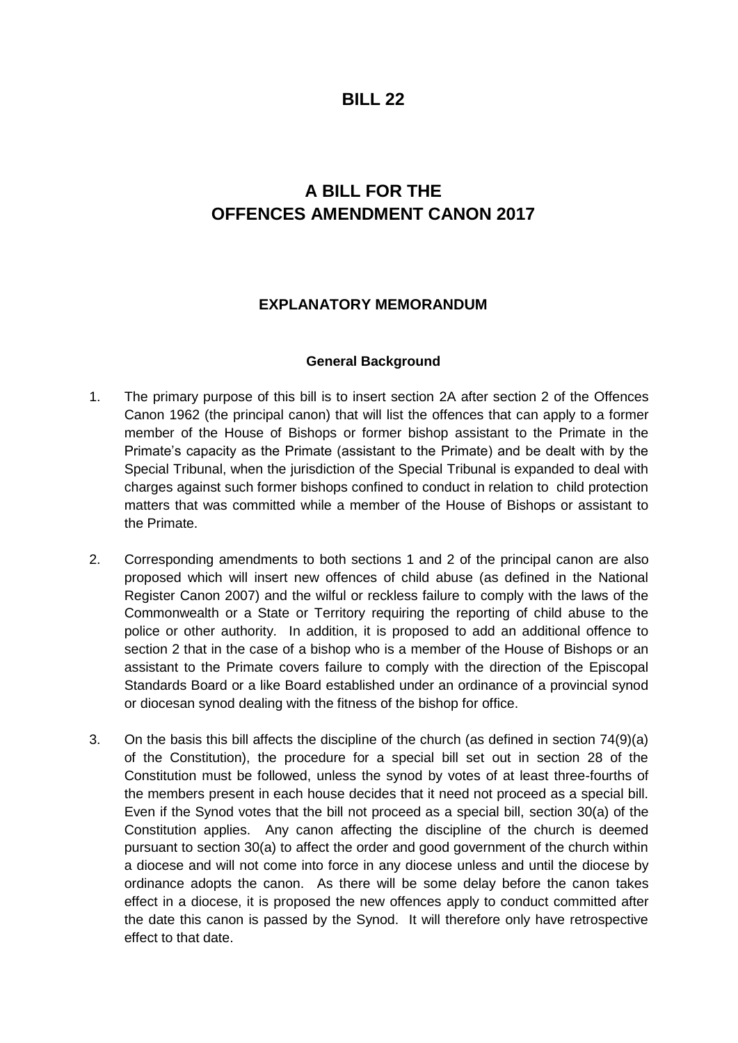## **BILL 22**

# **A BILL FOR THE OFFENCES AMENDMENT CANON 2017**

### **EXPLANATORY MEMORANDUM**

#### **General Background**

- 1. The primary purpose of this bill is to insert section 2A after section 2 of the Offences Canon 1962 (the principal canon) that will list the offences that can apply to a former member of the House of Bishops or former bishop assistant to the Primate in the Primate's capacity as the Primate (assistant to the Primate) and be dealt with by the Special Tribunal, when the jurisdiction of the Special Tribunal is expanded to deal with charges against such former bishops confined to conduct in relation to child protection matters that was committed while a member of the House of Bishops or assistant to the Primate.
- 2. Corresponding amendments to both sections 1 and 2 of the principal canon are also proposed which will insert new offences of child abuse (as defined in the National Register Canon 2007) and the wilful or reckless failure to comply with the laws of the Commonwealth or a State or Territory requiring the reporting of child abuse to the police or other authority. In addition, it is proposed to add an additional offence to section 2 that in the case of a bishop who is a member of the House of Bishops or an assistant to the Primate covers failure to comply with the direction of the Episcopal Standards Board or a like Board established under an ordinance of a provincial synod or diocesan synod dealing with the fitness of the bishop for office.
- 3. On the basis this bill affects the discipline of the church (as defined in section 74(9)(a) of the Constitution), the procedure for a special bill set out in section 28 of the Constitution must be followed, unless the synod by votes of at least three-fourths of the members present in each house decides that it need not proceed as a special bill. Even if the Synod votes that the bill not proceed as a special bill, section 30(a) of the Constitution applies. Any canon affecting the discipline of the church is deemed pursuant to section 30(a) to affect the order and good government of the church within a diocese and will not come into force in any diocese unless and until the diocese by ordinance adopts the canon. As there will be some delay before the canon takes effect in a diocese, it is proposed the new offences apply to conduct committed after the date this canon is passed by the Synod. It will therefore only have retrospective effect to that date.